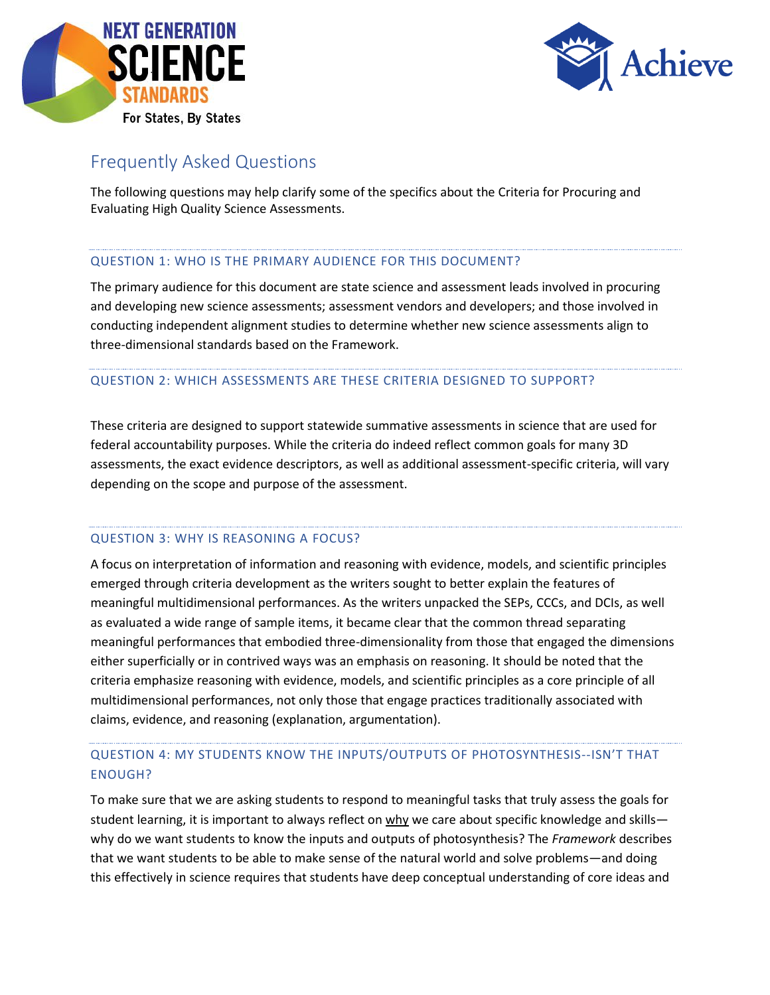



# Frequently Asked Questions

The following questions may help clarify some of the specifics about the Criteria for Procuring and Evaluating High Quality Science Assessments.

#### QUESTION 1: WHO IS THE PRIMARY AUDIENCE FOR THIS DOCUMENT?

The primary audience for this document are state science and assessment leads involved in procuring and developing new science assessments; assessment vendors and developers; and those involved in conducting independent alignment studies to determine whether new science assessments align to three-dimensional standards based on the Framework.

#### QUESTION 2: WHICH ASSESSMENTS ARE THESE CRITERIA DESIGNED TO SUPPORT?

These criteria are designed to support statewide summative assessments in science that are used for federal accountability purposes. While the criteria do indeed reflect common goals for many 3D assessments, the exact evidence descriptors, as well as additional assessment-specific criteria, will vary depending on the scope and purpose of the assessment.

#### QUESTION 3: WHY IS REASONING A FOCUS?

A focus on interpretation of information and reasoning with evidence, models, and scientific principles emerged through criteria development as the writers sought to better explain the features of meaningful multidimensional performances. As the writers unpacked the SEPs, CCCs, and DCIs, as well as evaluated a wide range of sample items, it became clear that the common thread separating meaningful performances that embodied three-dimensionality from those that engaged the dimensions either superficially or in contrived ways was an emphasis on reasoning. It should be noted that the criteria emphasize reasoning with evidence, models, and scientific principles as a core principle of all multidimensional performances, not only those that engage practices traditionally associated with claims, evidence, and reasoning (explanation, argumentation).

### QUESTION 4: MY STUDENTS KNOW THE INPUTS/OUTPUTS OF PHOTOSYNTHESIS--ISN'T THAT ENOUGH?

To make sure that we are asking students to respond to meaningful tasks that truly assess the goals for student learning, it is important to always reflect on why we care about specific knowledge and skills why do we want students to know the inputs and outputs of photosynthesis? The *Framework* describes that we want students to be able to make sense of the natural world and solve problems—and doing this effectively in science requires that students have deep conceptual understanding of core ideas and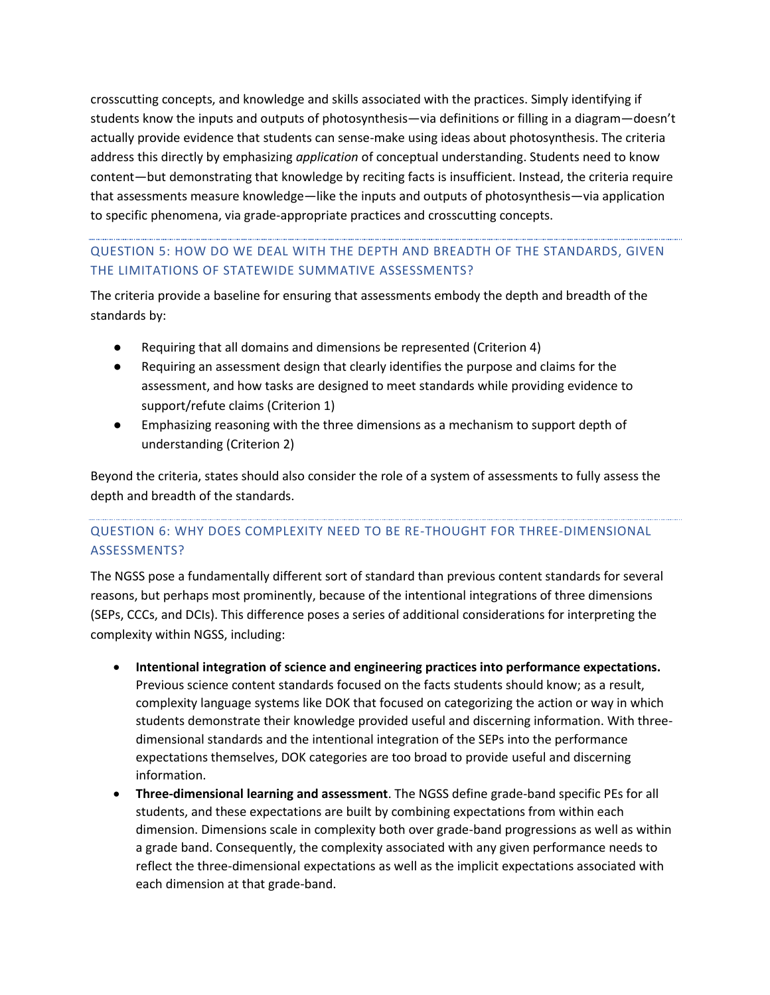crosscutting concepts, and knowledge and skills associated with the practices. Simply identifying if students know the inputs and outputs of photosynthesis—via definitions or filling in a diagram—doesn't actually provide evidence that students can sense-make using ideas about photosynthesis. The criteria address this directly by emphasizing *application* of conceptual understanding. Students need to know content—but demonstrating that knowledge by reciting facts is insufficient. Instead, the criteria require that assessments measure knowledge—like the inputs and outputs of photosynthesis—via application to specific phenomena, via grade-appropriate practices and crosscutting concepts.

# QUESTION 5: HOW DO WE DEAL WITH THE DEPTH AND BREADTH OF THE STANDARDS, GIVEN THE LIMITATIONS OF STATEWIDE SUMMATIVE ASSESSMENTS?

The criteria provide a baseline for ensuring that assessments embody the depth and breadth of the standards by:

- Requiring that all domains and dimensions be represented (Criterion 4)
- Requiring an assessment design that clearly identifies the purpose and claims for the assessment, and how tasks are designed to meet standards while providing evidence to support/refute claims (Criterion 1)
- Emphasizing reasoning with the three dimensions as a mechanism to support depth of understanding (Criterion 2)

Beyond the criteria, states should also consider the role of a system of assessments to fully assess the depth and breadth of the standards.

### QUESTION 6: WHY DOES COMPLEXITY NEED TO BE RE-THOUGHT FOR THREE-DIMENSIONAL ASSESSMENTS?

The NGSS pose a fundamentally different sort of standard than previous content standards for several reasons, but perhaps most prominently, because of the intentional integrations of three dimensions (SEPs, CCCs, and DCIs). This difference poses a series of additional considerations for interpreting the complexity within NGSS, including:

- **Intentional integration of science and engineering practices into performance expectations.**  Previous science content standards focused on the facts students should know; as a result, complexity language systems like DOK that focused on categorizing the action or way in which students demonstrate their knowledge provided useful and discerning information. With threedimensional standards and the intentional integration of the SEPs into the performance expectations themselves, DOK categories are too broad to provide useful and discerning information.
- **Three-dimensional learning and assessment**. The NGSS define grade-band specific PEs for all students, and these expectations are built by combining expectations from within each dimension. Dimensions scale in complexity both over grade-band progressions as well as within a grade band. Consequently, the complexity associated with any given performance needs to reflect the three-dimensional expectations as well as the implicit expectations associated with each dimension at that grade-band.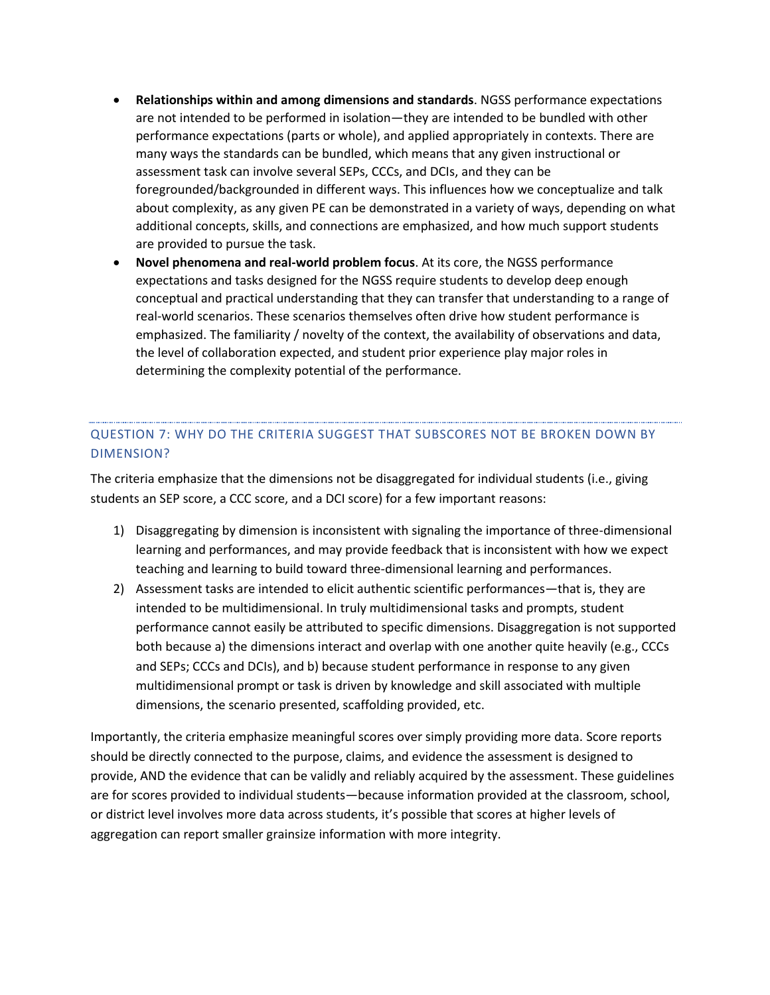- **Relationships within and among dimensions and standards**. NGSS performance expectations are not intended to be performed in isolation—they are intended to be bundled with other performance expectations (parts or whole), and applied appropriately in contexts. There are many ways the standards can be bundled, which means that any given instructional or assessment task can involve several SEPs, CCCs, and DCIs, and they can be foregrounded/backgrounded in different ways. This influences how we conceptualize and talk about complexity, as any given PE can be demonstrated in a variety of ways, depending on what additional concepts, skills, and connections are emphasized, and how much support students are provided to pursue the task.
- **Novel phenomena and real-world problem focus**. At its core, the NGSS performance expectations and tasks designed for the NGSS require students to develop deep enough conceptual and practical understanding that they can transfer that understanding to a range of real-world scenarios. These scenarios themselves often drive how student performance is emphasized. The familiarity / novelty of the context, the availability of observations and data, the level of collaboration expected, and student prior experience play major roles in determining the complexity potential of the performance.

# QUESTION 7: WHY DO THE CRITERIA SUGGEST THAT SUBSCORES NOT BE BROKEN DOWN BY DIMENSION?

The criteria emphasize that the dimensions not be disaggregated for individual students (i.e., giving students an SEP score, a CCC score, and a DCI score) for a few important reasons:

- 1) Disaggregating by dimension is inconsistent with signaling the importance of three-dimensional learning and performances, and may provide feedback that is inconsistent with how we expect teaching and learning to build toward three-dimensional learning and performances.
- 2) Assessment tasks are intended to elicit authentic scientific performances—that is, they are intended to be multidimensional. In truly multidimensional tasks and prompts, student performance cannot easily be attributed to specific dimensions. Disaggregation is not supported both because a) the dimensions interact and overlap with one another quite heavily (e.g., CCCs and SEPs; CCCs and DCIs), and b) because student performance in response to any given multidimensional prompt or task is driven by knowledge and skill associated with multiple dimensions, the scenario presented, scaffolding provided, etc.

Importantly, the criteria emphasize meaningful scores over simply providing more data. Score reports should be directly connected to the purpose, claims, and evidence the assessment is designed to provide, AND the evidence that can be validly and reliably acquired by the assessment. These guidelines are for scores provided to individual students—because information provided at the classroom, school, or district level involves more data across students, it's possible that scores at higher levels of aggregation can report smaller grainsize information with more integrity.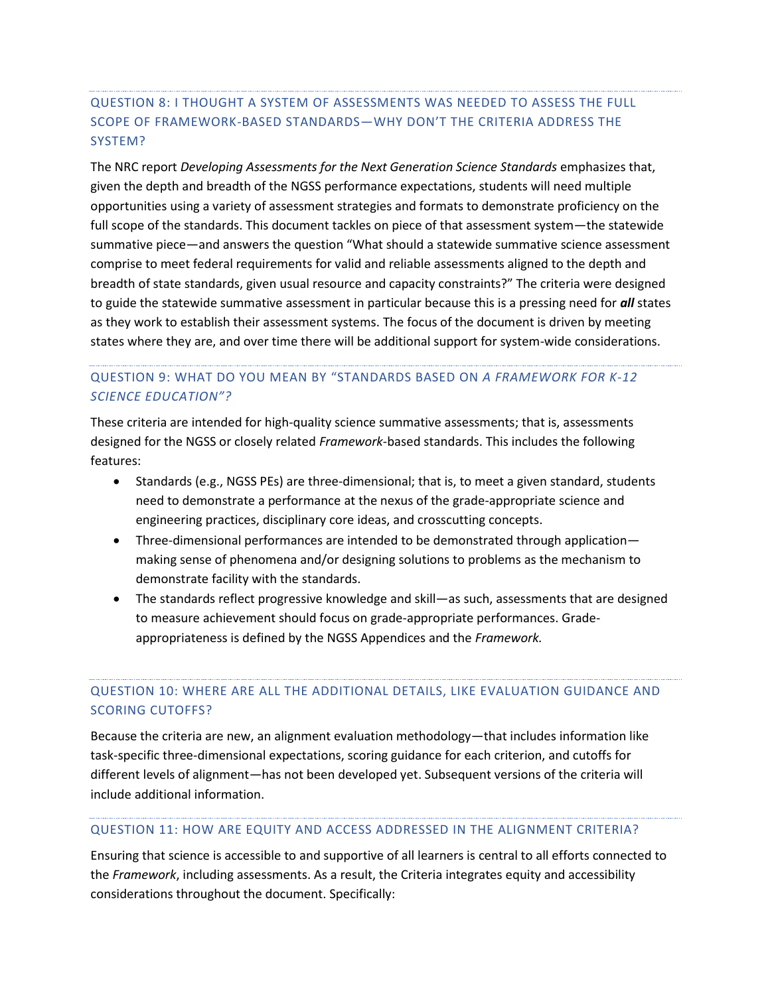# QUESTION 8: I THOUGHT A SYSTEM OF ASSESSMENTS WAS NEEDED TO ASSESS THE FULL SCOPE OF FRAMEWORK-BASED STANDARDS—WHY DON'T THE CRITERIA ADDRESS THE SYSTEM?

The NRC report *Developing Assessments for the Next Generation Science Standards* emphasizes that, given the depth and breadth of the NGSS performance expectations, students will need multiple opportunities using a variety of assessment strategies and formats to demonstrate proficiency on the full scope of the standards. This document tackles on piece of that assessment system—the statewide summative piece—and answers the question "What should a statewide summative science assessment comprise to meet federal requirements for valid and reliable assessments aligned to the depth and breadth of state standards, given usual resource and capacity constraints?" The criteria were designed to guide the statewide summative assessment in particular because this is a pressing need for *all* states as they work to establish their assessment systems. The focus of the document is driven by meeting states where they are, and over time there will be additional support for system-wide considerations.

### QUESTION 9: WHAT DO YOU MEAN BY "STANDARDS BASED ON *A FRAMEWORK FOR K-12 SCIENCE EDUCATION"?*

These criteria are intended for high-quality science summative assessments; that is, assessments designed for the NGSS or closely related *Framework*-based standards. This includes the following features:

- Standards (e.g., NGSS PEs) are three-dimensional; that is, to meet a given standard, students need to demonstrate a performance at the nexus of the grade-appropriate science and engineering practices, disciplinary core ideas, and crosscutting concepts.
- Three-dimensional performances are intended to be demonstrated through application making sense of phenomena and/or designing solutions to problems as the mechanism to demonstrate facility with the standards.
- The standards reflect progressive knowledge and skill—as such, assessments that are designed to measure achievement should focus on grade-appropriate performances. Gradeappropriateness is defined by the NGSS Appendices and the *Framework.*

## QUESTION 10: WHERE ARE ALL THE ADDITIONAL DETAILS, LIKE EVALUATION GUIDANCE AND SCORING CUTOFFS?

Because the criteria are new, an alignment evaluation methodology—that includes information like task-specific three-dimensional expectations, scoring guidance for each criterion, and cutoffs for different levels of alignment—has not been developed yet. Subsequent versions of the criteria will include additional information.

#### QUESTION 11: HOW ARE EQUITY AND ACCESS ADDRESSED IN THE ALIGNMENT CRITERIA?

Ensuring that science is accessible to and supportive of all learners is central to all efforts connected to the *Framework*, including assessments. As a result, the Criteria integrates equity and accessibility considerations throughout the document. Specifically: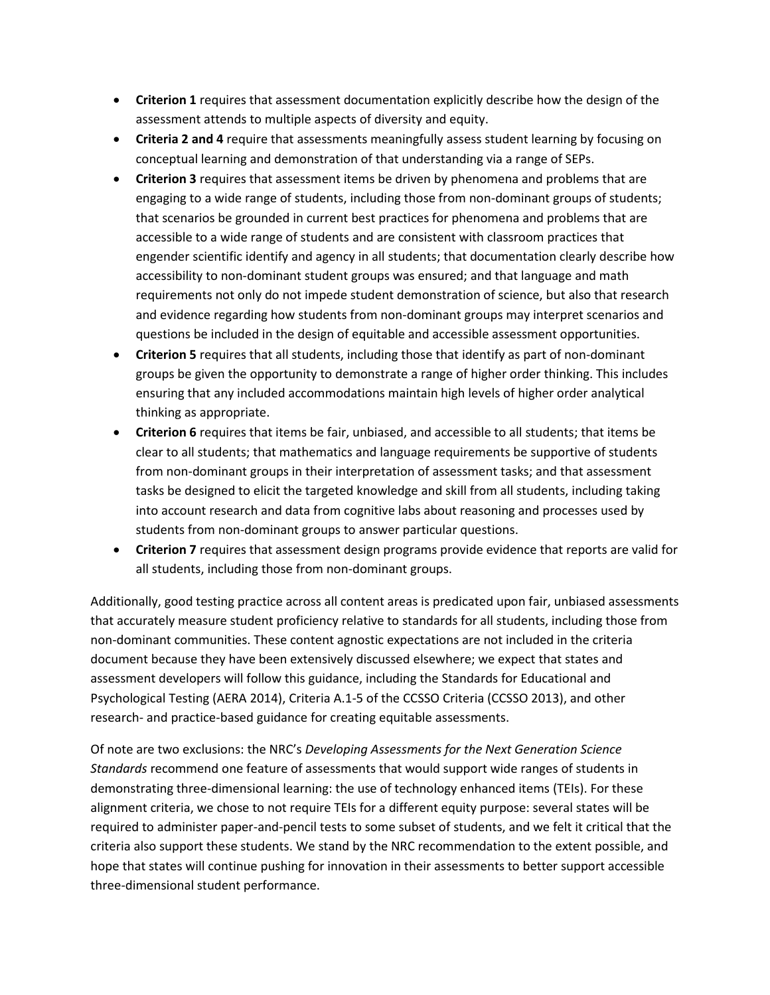- **Criterion 1** requires that assessment documentation explicitly describe how the design of the assessment attends to multiple aspects of diversity and equity.
- **Criteria 2 and 4** require that assessments meaningfully assess student learning by focusing on conceptual learning and demonstration of that understanding via a range of SEPs.
- **Criterion 3** requires that assessment items be driven by phenomena and problems that are engaging to a wide range of students, including those from non-dominant groups of students; that scenarios be grounded in current best practices for phenomena and problems that are accessible to a wide range of students and are consistent with classroom practices that engender scientific identify and agency in all students; that documentation clearly describe how accessibility to non-dominant student groups was ensured; and that language and math requirements not only do not impede student demonstration of science, but also that research and evidence regarding how students from non-dominant groups may interpret scenarios and questions be included in the design of equitable and accessible assessment opportunities.
- **Criterion 5** requires that all students, including those that identify as part of non-dominant groups be given the opportunity to demonstrate a range of higher order thinking. This includes ensuring that any included accommodations maintain high levels of higher order analytical thinking as appropriate.
- **Criterion 6** requires that items be fair, unbiased, and accessible to all students; that items be clear to all students; that mathematics and language requirements be supportive of students from non-dominant groups in their interpretation of assessment tasks; and that assessment tasks be designed to elicit the targeted knowledge and skill from all students, including taking into account research and data from cognitive labs about reasoning and processes used by students from non-dominant groups to answer particular questions.
- **Criterion 7** requires that assessment design programs provide evidence that reports are valid for all students, including those from non-dominant groups.

Additionally, good testing practice across all content areas is predicated upon fair, unbiased assessments that accurately measure student proficiency relative to standards for all students, including those from non-dominant communities. These content agnostic expectations are not included in the criteria document because they have been extensively discussed elsewhere; we expect that states and assessment developers will follow this guidance, including the Standards for Educational and Psychological Testing (AERA 2014), Criteria A.1-5 of the CCSSO Criteria (CCSSO 2013), and other research- and practice-based guidance for creating equitable assessments.

Of note are two exclusions: the NRC's *Developing Assessments for the Next Generation Science Standards* recommend one feature of assessments that would support wide ranges of students in demonstrating three-dimensional learning: the use of technology enhanced items (TEIs). For these alignment criteria, we chose to not require TEIs for a different equity purpose: several states will be required to administer paper-and-pencil tests to some subset of students, and we felt it critical that the criteria also support these students. We stand by the NRC recommendation to the extent possible, and hope that states will continue pushing for innovation in their assessments to better support accessible three-dimensional student performance.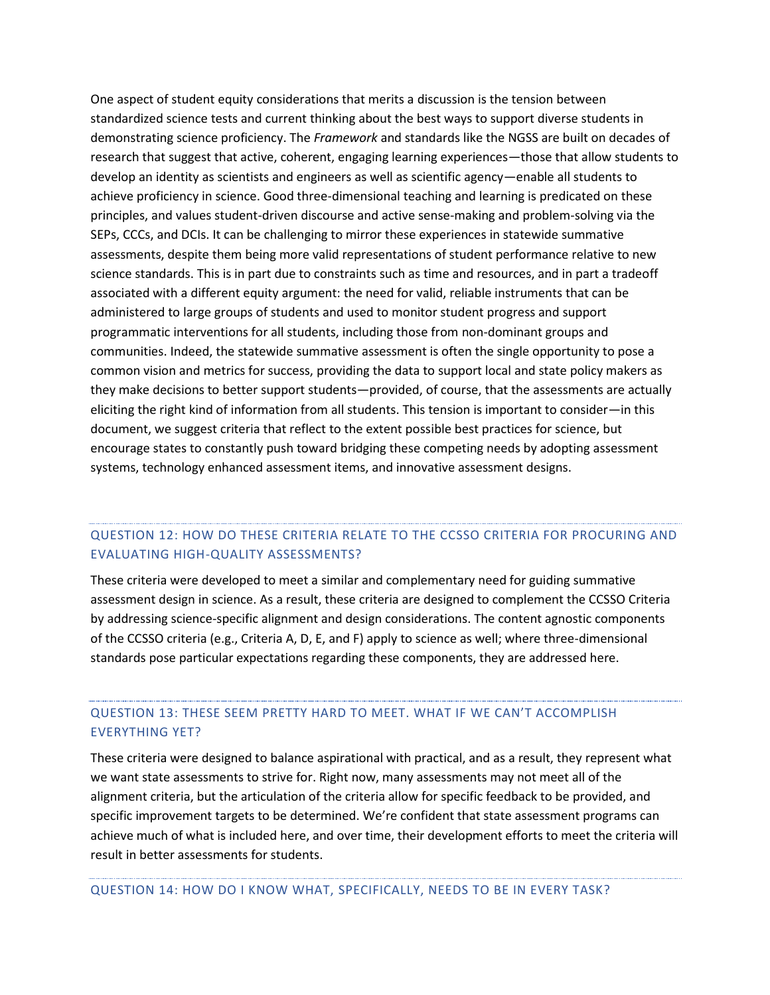One aspect of student equity considerations that merits a discussion is the tension between standardized science tests and current thinking about the best ways to support diverse students in demonstrating science proficiency. The *Framework* and standards like the NGSS are built on decades of research that suggest that active, coherent, engaging learning experiences—those that allow students to develop an identity as scientists and engineers as well as scientific agency—enable all students to achieve proficiency in science. Good three-dimensional teaching and learning is predicated on these principles, and values student-driven discourse and active sense-making and problem-solving via the SEPs, CCCs, and DCIs. It can be challenging to mirror these experiences in statewide summative assessments, despite them being more valid representations of student performance relative to new science standards. This is in part due to constraints such as time and resources, and in part a tradeoff associated with a different equity argument: the need for valid, reliable instruments that can be administered to large groups of students and used to monitor student progress and support programmatic interventions for all students, including those from non-dominant groups and communities. Indeed, the statewide summative assessment is often the single opportunity to pose a common vision and metrics for success, providing the data to support local and state policy makers as they make decisions to better support students—provided, of course, that the assessments are actually eliciting the right kind of information from all students. This tension is important to consider—in this document, we suggest criteria that reflect to the extent possible best practices for science, but encourage states to constantly push toward bridging these competing needs by adopting assessment systems, technology enhanced assessment items, and innovative assessment designs.

#### QUESTION 12: HOW DO THESE CRITERIA RELATE TO THE CCSSO CRITERIA FOR PROCURING AND EVALUATING HIGH-QUALITY ASSESSMENTS?

These criteria were developed to meet a similar and complementary need for guiding summative assessment design in science. As a result, these criteria are designed to complement the CCSSO Criteria by addressing science-specific alignment and design considerations. The content agnostic components of the CCSSO criteria (e.g., Criteria A, D, E, and F) apply to science as well; where three-dimensional standards pose particular expectations regarding these components, they are addressed here.

### QUESTION 13: THESE SEEM PRETTY HARD TO MEET. WHAT IF WE CAN'T ACCOMPLISH EVERYTHING YET?

These criteria were designed to balance aspirational with practical, and as a result, they represent what we want state assessments to strive for. Right now, many assessments may not meet all of the alignment criteria, but the articulation of the criteria allow for specific feedback to be provided, and specific improvement targets to be determined. We're confident that state assessment programs can achieve much of what is included here, and over time, their development efforts to meet the criteria will result in better assessments for students.

QUESTION 14: HOW DO I KNOW WHAT, SPECIFICALLY, NEEDS TO BE IN EVERY TASK?